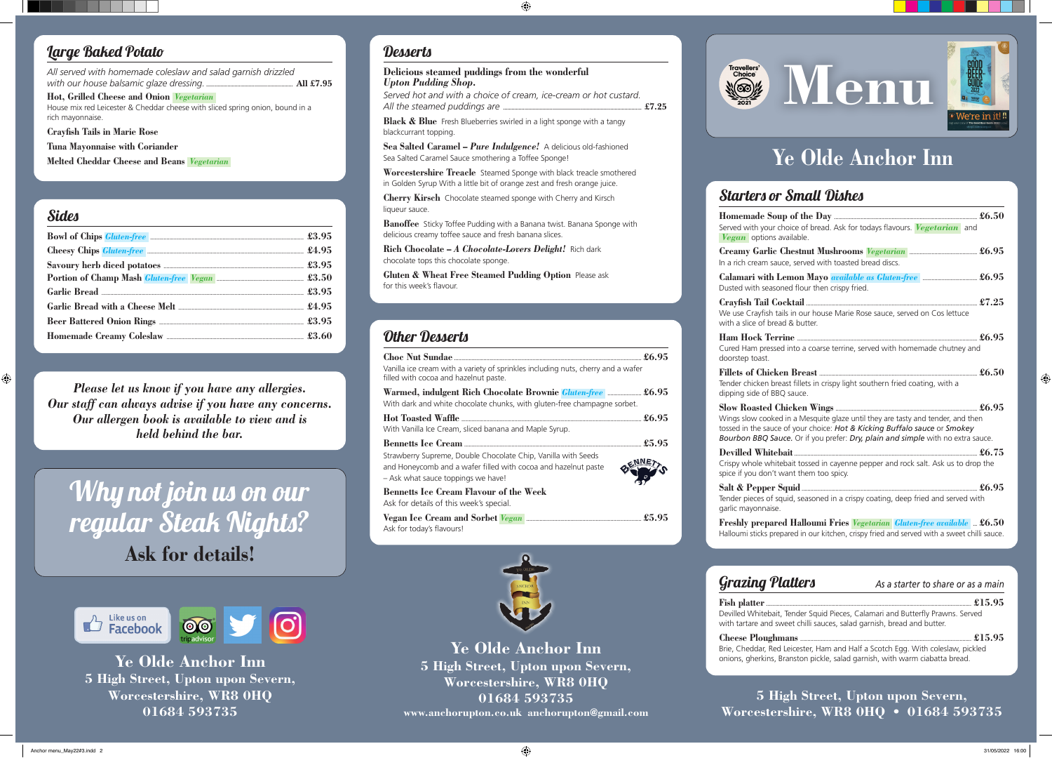Why not join us on our regular Steak Nights? **Ask for details!**



#### **5 High Street, Upton upon Severn, Worcestershire, WR8 0HQ • 01684 593735**

**Ye Olde Anchor Inn 5 High Street, Upton upon Severn, Worcestershire, WR8 0HQ 01684 593735 www.anchorupton.co.uk anchorupton@gmail.com**



 $Homemade$ Served with your ch *Vegan* options av

> **Creamy Garlic C** In a rich cream sauc

**Calamari with Le** Dusted with seasone

 $C$ rayfish Tail  $C$ oo We use Crayfish tail with a slice of bread  $\frac{1}{2}$ 

**Ye Olde Anchor Inn 5 High Street, Upton upon Severn, Worcestershire, WR8 0HQ 01684 593735**

#### Desserts

### Starters or Small Dishes

| oice of bread. Ask for todays flavours. Vegetarian and<br>vailable.                                                                                                                        |  |
|--------------------------------------------------------------------------------------------------------------------------------------------------------------------------------------------|--|
| e, served with toasted bread discs.                                                                                                                                                        |  |
| ed flour then crispy fried.                                                                                                                                                                |  |
| Is in our house Marie Rose sauce, served on Cos lettuce<br>d & butter.                                                                                                                     |  |
| into a coarse terrine, served with homemade chutney and                                                                                                                                    |  |
| ast fillets in crispy light southern fried coating, with a<br>sauce.                                                                                                                       |  |
| in a Mesquite glaze until they are tasty and tender, and then<br>of your choice: Hot & Kicking Buffalo sauce or Smokey<br>ce. Or if you prefer: Dry, plain and simple with no extra sauce. |  |
| bait tossed in cayenne pepper and rock salt. Ask us to drop the<br>ant them too spicy.                                                                                                     |  |
| uid, seasoned in a crispy coating, deep fried and served with                                                                                                                              |  |

**Ham Hock Terri** Cured Ham pressed doorstep toast.

 $Fillets of *Chicke*$ Tender chicken brea dipping side of BBO

 $Slow$  Roasted Ch Wings slow cooked tossed in the sauce **Bourbon BBO Sauce** 

**Devilled Whiteba** Crispy whole whitek spice if you don't wa

**Salt & Pepper So** Tender pieces of squ garlic mayonnaise.

**Black & Blue** Fresh Blueberries swirled in a light sponge with a tangy blackcurrant topping.

**Gluten & Wheat Free Steamed Pudding Option** Please ask for this week's flavour.

> **Freshly prepared Halloumi Fries** *Vegetarian Gluten-free available* **... £6.50** Halloumi sticks prepared in our kitchen, crispy fried and served with a sweet chilli sauce.

**Fish platter** ...... Devilled Whitebait, with tartare and sw

Grazing Platters *As a starter to share or as a main*

| Tender Squid Pieces, Calamari and Butterfly Prawns. Served |  |
|------------------------------------------------------------|--|
| eet chilli sauces, salad garnish, bread and butter.        |  |

**Cheese Ploughmans .................................................................................................................... £15.95**  Brie, Cheddar, Red Leicester, Ham and Half a Scotch Egg. With coleslaw, pickled onions, gherkins, Branston pickle, salad garnish, with warm ciabatta bread.

# Travellers' Choice' **Menu and The Contract of the Contract of the Contract of Texas and Texas and Texas and Texas and Texas and Texas and Texas and Texas and Texas and Texas and Texas and Texas and Texas and Texas and Texa**



#### **Delicious steamed puddings from the wonderful**  *Upton Pudding Shop***.**

*Served hot and with a choice of cream, ice-cream or hot custard. All the steamed puddings are* **.................................................................................................. £7.25**

**Sea Salted Caramel –** *Pure Indulgence!* A delicious old-fashioned Sea Salted Caramel Sauce smothering a Toffee Sponge!

**Worcestershire Treacle** Steamed Sponge with black treacle smothered in Golden Syrup With a little bit of orange zest and fresh orange juice.

**Cherry Kirsch** Chocolate steamed sponge with Cherry and Kirsch liqueur sauce.

**Banoffee** Sticky Toffee Pudding with a Banana twist. Banana Sponge with delicious creamy toffee sauce and fresh banana slices.

**Rich Chocolate –** *A Chocolate-Lovers Delight!* Rich dark chocolate tops this chocolate sponge.

### Other Desserts

| Vanilla ice cream with a variety of sprinkles including nuts, cherry and a wafer<br>filled with cocoa and hazelnut paste.                                             |  |
|-----------------------------------------------------------------------------------------------------------------------------------------------------------------------|--|
| Warmed, indulgent Rich Chocolate Brownie <i>Gluten-free</i> £6.95<br>With dark and white chocolate chunks, with gluten-free champagne sorbet.                         |  |
| With Vanilla Ice Cream, sliced banana and Maple Syrup.                                                                                                                |  |
|                                                                                                                                                                       |  |
| Strawberry Supreme, Double Chocolate Chip, Vanilla with Seeds<br>and Honeycomb and a wafer filled with cocoa and hazelnut paste<br>- Ask what sauce toppings we have! |  |
| <b>Bennetts Ice Cream Flavour of the Week</b><br>Ask for details of this week's special.                                                                              |  |
| Vegan Ice Cream and Sorbet Vegan <b>Election Controller Steps</b> 25.95<br>Ask for today's flavours!                                                                  |  |



### Large Baked Potato

*All served with homemade coleslaw and salad garnish drizzled with our house balsamic glaze dressing.* **............................................................. All £7.95**

**Hot, Grilled Cheese and Onion** *Vegetarian*  House mix red Leicester & Cheddar cheese with sliced spring onion, bound in a rich mayonnaise.

**Crayfish Tails in Marie Rose** 

**Tuna Mayonnaise with Coriander** 

**Melted Cheddar Cheese and Beans** *Vegetarian* 

#### **Sides**

| <u> 1989 - Andrea Santa Andrea Andrea Andrea Andrea Andrea Andrea Andrea Andrea Andrea Andrea Andrea Andrea Andr</u> |
|----------------------------------------------------------------------------------------------------------------------|
| Bowl of Chips <i>Gluten-free</i> <b>Example 2008</b> 3.95                                                            |
|                                                                                                                      |
|                                                                                                                      |
|                                                                                                                      |
|                                                                                                                      |
|                                                                                                                      |
|                                                                                                                      |
|                                                                                                                      |
|                                                                                                                      |

*Please let us know if you have any allergies. Our staff can always advise if you have any concerns. Our allergen book is available to view and is held behind the bar.*

# **Ye Olde Anchor Inn**